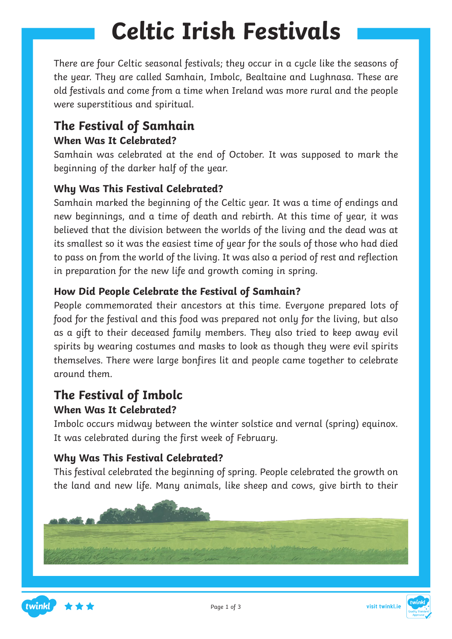# **Celtic Irish Festivals**

There are four Celtic seasonal festivals; they occur in a cycle like the seasons of the year. They are called Samhain, Imbolc, Bealtaine and Lughnasa. These are old festivals and come from a time when Ireland was more rural and the people were superstitious and spiritual.

#### **The Festival of Samhain When Was It Celebrated?**

Samhain was celebrated at the end of October. It was supposed to mark the beginning of the darker half of the year.

#### **Why Was This Festival Celebrated?**

Samhain marked the beginning of the Celtic year. It was a time of endings and new beginnings, and a time of death and rebirth. At this time of year, it was believed that the division between the worlds of the living and the dead was at its smallest so it was the easiest time of year for the souls of those who had died to pass on from the world of the living. It was also a period of rest and reflection in preparation for the new life and growth coming in spring.

#### **How Did People Celebrate the Festival of Samhain?**

People commemorated their ancestors at this time. Everyone prepared lots of food for the festival and this food was prepared not only for the living, but also as a gift to their deceased family members. They also tried to keep away evil spirits by wearing costumes and masks to look as though they were evil spirits themselves. There were large bonfires lit and people came together to celebrate around them.

#### **The Festival of Imbolc When Was It Celebrated?**

Imbolc occurs midway between the winter solstice and vernal (spring) equinox. It was celebrated during the first week of February.

#### **Why Was This Festival Celebrated?**

This festival celebrated the beginning of spring. People celebrated the growth on the land and new life. Many animals, like sheep and cows, give birth to their



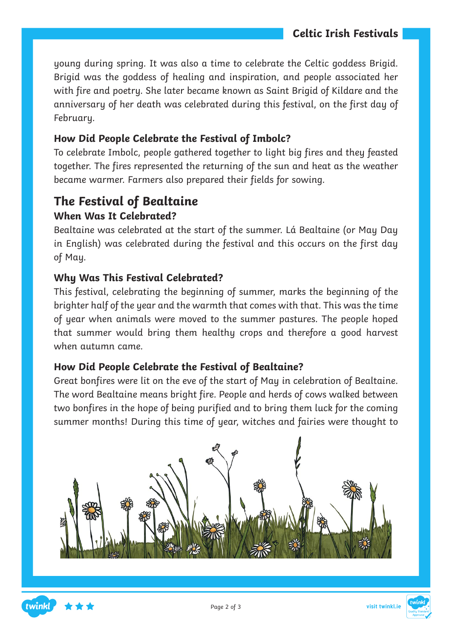young during spring. It was also a time to celebrate the Celtic goddess Brigid. Brigid was the goddess of healing and inspiration, and people associated her with fire and poetry. She later became known as Saint Brigid of Kildare and the anniversary of her death was celebrated during this festival, on the first day of February.

#### **How Did People Celebrate the Festival of Imbolc?**

To celebrate Imbolc, people gathered together to light big fires and they feasted together. The fires represented the returning of the sun and heat as the weather became warmer. Farmers also prepared their fields for sowing.

### **The Festival of Bealtaine**

#### **When Was It Celebrated?**

Bealtaine was celebrated at the start of the summer. Lá Bealtaine (or May Day in English) was celebrated during the festival and this occurs on the first day of May.

#### **Why Was This Festival Celebrated?**

This festival, celebrating the beginning of summer, marks the beginning of the brighter half of the year and the warmth that comes with that. This was the time of year when animals were moved to the summer pastures. The people hoped that summer would bring them healthy crops and therefore a good harvest when autumn came.

#### **How Did People Celebrate the Festival of Bealtaine?**

Great bonfires were lit on the eve of the start of May in celebration of Bealtaine. The word Bealtaine means bright fire. People and herds of cows walked between two bonfires in the hope of being purified and to bring them luck for the coming summer months! During this time of year, witches and fairies were thought to





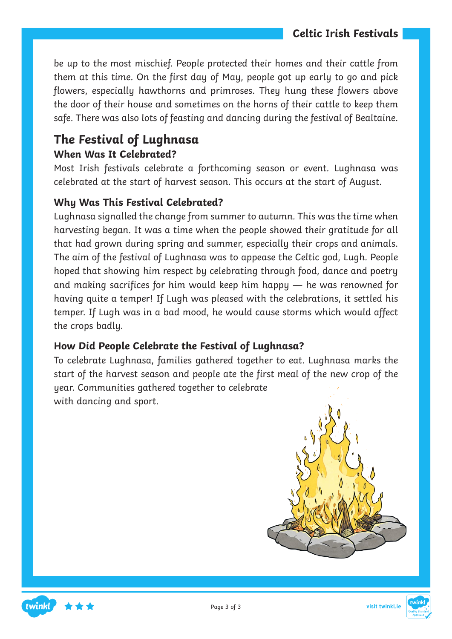be up to the most mischief. People protected their homes and their cattle from them at this time. On the first day of May, people got up early to go and pick flowers, especially hawthorns and primroses. They hung these flowers above the door of their house and sometimes on the horns of their cattle to keep them safe. There was also lots of feasting and dancing during the festival of Bealtaine.

### **The Festival of Lughnasa When Was It Celebrated?**

Most Irish festivals celebrate a forthcoming season or event. Lughnasa was celebrated at the start of harvest season. This occurs at the start of August.

#### **Why Was This Festival Celebrated?**

Lughnasa signalled the change from summer to autumn. This was the time when harvesting began. It was a time when the people showed their gratitude for all that had grown during spring and summer, especially their crops and animals. The aim of the festival of Lughnasa was to appease the Celtic god, Lugh. People hoped that showing him respect by celebrating through food, dance and poetry and making sacrifices for him would keep him happy — he was renowned for having quite a temper! If Lugh was pleased with the celebrations, it settled his temper. If Lugh was in a bad mood, he would cause storms which would affect the crops badly.

#### **How Did People Celebrate the Festival of Lughnasa?**

To celebrate Lughnasa, families gathered together to eat. Lughnasa marks the start of the harvest season and people ate the first meal of the new crop of the year. Communities gathered together to celebrate with dancing and sport.





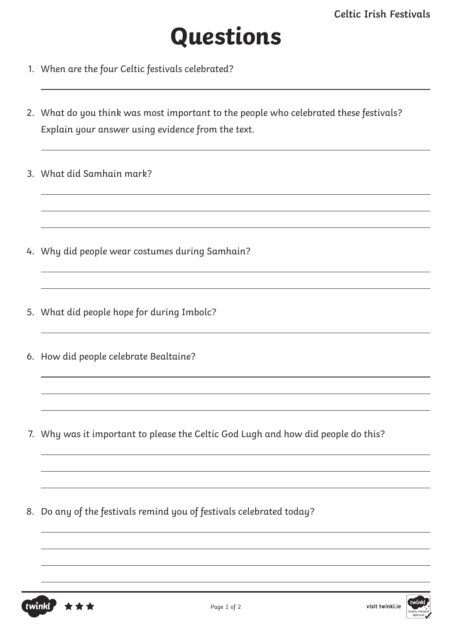## **Questions**

- 1. When are the four Celtic festivals celebrated?
- 2. What do you think was most important to the people who celebrated these festivals? Explain your answer using evidence from the text.
- 3. What did Samhain mark?

- 4. Why did people wear costumes during Samhain?
- 5. What did people hope for during Imbolc?
- 6. How did people celebrate Bealtaine?

7. Why was it important to please the Celtic God Lugh and how did people do this?

8. Do any of the festivals remind you of festivals celebrated today?